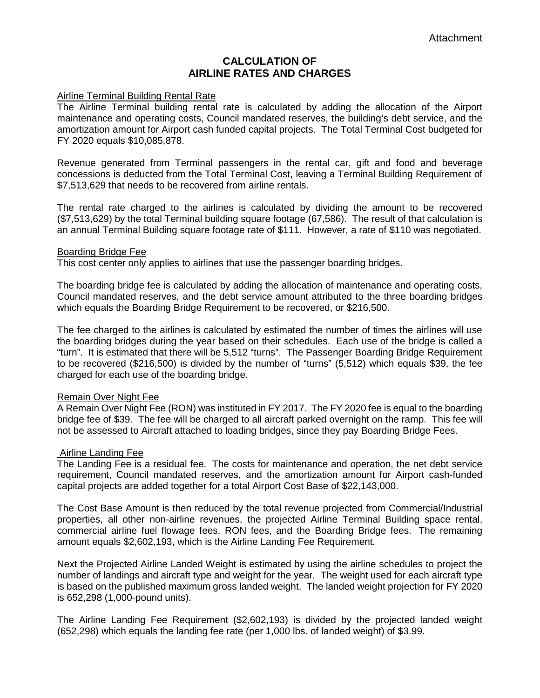# **CALCULATION OF AIRLINE RATES AND CHARGES**

### Airline Terminal Building Rental Rate

The Airline Terminal building rental rate is calculated by adding the allocation of the Airport maintenance and operating costs, Council mandated reserves, the building's debt service, and the amortization amount for Airport cash funded capital projects. The Total Terminal Cost budgeted for FY 2020 equals \$10,085,878.

Revenue generated from Terminal passengers in the rental car, gift and food and beverage concessions is deducted from the Total Terminal Cost, leaving a Terminal Building Requirement of \$7,513,629 that needs to be recovered from airline rentals.

The rental rate charged to the airlines is calculated by dividing the amount to be recovered (\$7,513,629) by the total Terminal building square footage (67,586). The result of that calculation is an annual Terminal Building square footage rate of \$111. However, a rate of \$110 was negotiated.

#### Boarding Bridge Fee

This cost center only applies to airlines that use the passenger boarding bridges.

The boarding bridge fee is calculated by adding the allocation of maintenance and operating costs, Council mandated reserves, and the debt service amount attributed to the three boarding bridges which equals the Boarding Bridge Requirement to be recovered, or \$216,500.

The fee charged to the airlines is calculated by estimated the number of times the airlines will use the boarding bridges during the year based on their schedules. Each use of the bridge is called a "turn". It is estimated that there will be 5,512 "turns". The Passenger Boarding Bridge Requirement to be recovered (\$216,500) is divided by the number of "turns" (5,512) which equals \$39, the fee charged for each use of the boarding bridge.

### Remain Over Night Fee

A Remain Over Night Fee (RON) was instituted in FY 2017. The FY 2020 fee is equal to the boarding bridge fee of \$39. The fee will be charged to all aircraft parked overnight on the ramp. This fee will not be assessed to Aircraft attached to loading bridges, since they pay Boarding Bridge Fees.

### Airline Landing Fee

The Landing Fee is a residual fee. The costs for maintenance and operation, the net debt service requirement, Council mandated reserves, and the amortization amount for Airport cash-funded capital projects are added together for a total Airport Cost Base of \$22,143,000.

The Cost Base Amount is then reduced by the total revenue projected from Commercial/Industrial properties, all other non-airline revenues, the projected Airline Terminal Building space rental, commercial airline fuel flowage fees, RON fees, and the Boarding Bridge fees. The remaining amount equals \$2,602,193, which is the Airline Landing Fee Requirement.

Next the Projected Airline Landed Weight is estimated by using the airline schedules to project the number of landings and aircraft type and weight for the year. The weight used for each aircraft type is based on the published maximum gross landed weight. The landed weight projection for FY 2020 is 652,298 (1,000-pound units).

The Airline Landing Fee Requirement (\$2,602,193) is divided by the projected landed weight (652,298) which equals the landing fee rate (per 1,000 lbs. of landed weight) of \$3.99.